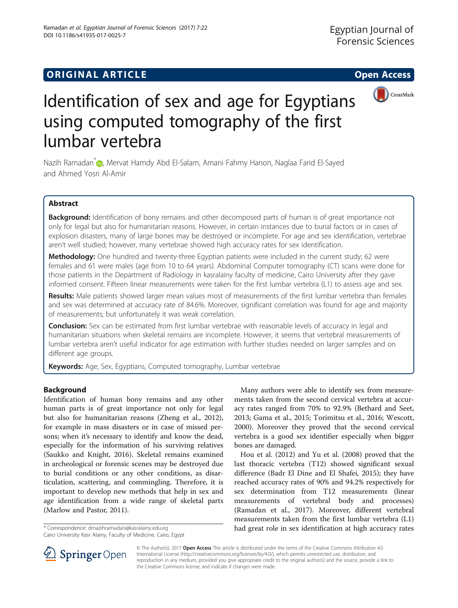

# Identification of sex and age for Egyptians using computed tomography of the first lumbar vertebra

Nazih Ramadan<sup>\*</sup> [,](http://orcid.org/0000-0002-4090-5416) Mervat Hamdy Abd El-Salam, Amani Fahmy Hanon, Naglaa Farid El-Sayed and Ahmed Yosri Al-Amir

# Abstract

Background: Identification of bony remains and other decomposed parts of human is of great importance not only for legal but also for humanitarian reasons. However, in certain instances due to burial factors or in cases of explosion disasters, many of large bones may be destroyed or incomplete. For age and sex identification, vertebrae aren't well studied; however, many vertebrae showed high accuracy rates for sex identification.

Methodology: One hundred and twenty-three Egyptian patients were included in the current study; 62 were females and 61 were males (age from 10 to 64 years). Abdominal Computer tomography (CT) scans were done for those patients in the Department of Radiology in kasralainy faculty of medicine, Cairo University after they gave informed consent. Fifteen linear measurements were taken for the first lumbar vertebra (L1) to assess age and sex.

Results: Male patients showed larger mean values most of measurements of the first lumbar vertebra than females and sex was determined at accuracy rate of 84.6%. Moreover, significant correlation was found for age and majority of measurements; but unfortunately it was weak correlation.

**Conclusion:** Sex can be estimated from first lumbar vertebrae with reasonable levels of accuracy in legal and humanitarian situations when skeletal remains are incomplete. However, it seems that vertebral measurements of lumbar vertebra aren't useful indicator for age estimation with further studies needed on larger samples and on different age groups.

Keywords: Age, Sex, Egyptians, Computed tomography, Lumbar vertebrae

# Background

Identification of human bony remains and any other human parts is of great importance not only for legal but also for humanitarian reasons (Zheng et al., [2012](#page-7-0)), for example in mass disasters or in case of missed persons; when it's necessary to identify and know the dead, especially for the information of his surviving relatives (Saukko and Knight, [2016](#page-7-0)). Skeletal remains examined in archeological or forensic scenes may be destroyed due to burial conditions or any other conditions, as disarticulation, scattering, and commingling. Therefore, it is important to develop new methods that help in sex and age identification from a wide range of skeletal parts (Marlow and Pastor, [2011](#page-6-0)).

Cairo University Kasr Alainy, Faculty of Medicine, Cairo, Egypt

Many authors were able to identify sex from measurements taken from the second cervical vertebra at accuracy rates ranged from 70% to 92.9% (Bethard and Seet, [2013](#page-6-0); Gama et al., [2015](#page-6-0); Torimitsu et al., [2016;](#page-7-0) Wescott, [2000](#page-7-0)). Moreover they proved that the second cervical vertebra is a good sex identifier especially when bigger bones are damaged.

Hou et al. [\(2012\)](#page-6-0) and Yu et al. [\(2008\)](#page-7-0) proved that the last thoracic vertebra (T12) showed significant sexual difference (Badr El Dine and El Shafei, [2015](#page-6-0)); they have reached accuracy rates of 90% and 94.2% respectively for sex determination from T12 measurements (linear measurements of vertebral body and processes) (Ramadan et al., [2017\)](#page-7-0). Moreover, different vertebral measurements taken from the first lumbar vertebra (L1) \* Correspondence: [drnazihramadan@kasralainy.edu.eg](mailto:drnazihramadan@kasralainy.edu.eg) had great role in sex identification at high accuracy rates



© The Author(s). 2017 Open Access This article is distributed under the terms of the Creative Commons Attribution 4.0 International License ([http://creativecommons.org/licenses/by/4.0/\)](http://creativecommons.org/licenses/by/4.0/), which permits unrestricted use, distribution, and reproduction in any medium, provided you give appropriate credit to the original author(s) and the source, provide a link to the Creative Commons license, and indicate if changes were made.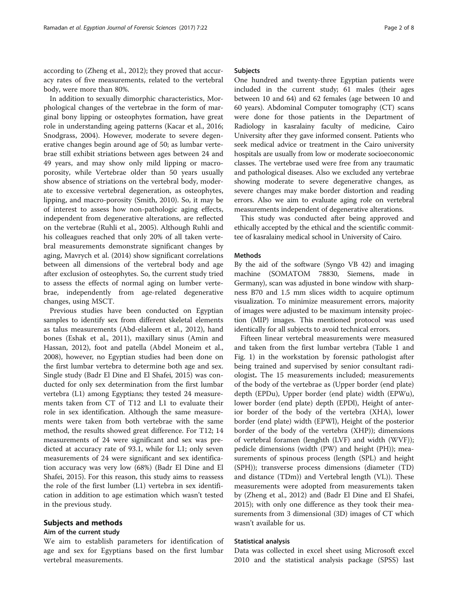according to (Zheng et al., [2012\)](#page-7-0); they proved that accuracy rates of five measurements, related to the vertebral body, were more than 80%.

In addition to sexually dimorphic characteristics, Morphological changes of the vertebrae in the form of marginal bony lipping or osteophytes formation, have great role in understanding ageing patterns (Kacar et al., [2016](#page-6-0); Snodgrass, [2004](#page-7-0)). However, moderate to severe degenerative changes begin around age of 50; as lumbar vertebrae still exhibit striations between ages between 24 and 49 years, and may show only mild lipping or macroporosity, while Vertebrae older than 50 years usually show absence of striations on the vertebral body, moderate to excessive vertebral degeneration, as osteophytes, lipping, and macro-porosity (Smith, [2010](#page-7-0)). So, it may be of interest to assess how non-pathologic aging effects, independent from degenerative alterations, are reflected on the vertebrae (Ruhli et al., [2005](#page-7-0)). Although Ruhli and his colleagues reached that only 20% of all taken vertebral measurements demonstrate significant changes by aging, Mavrych et al. ([2014\)](#page-6-0) show significant correlations between all dimensions of the vertebral body and age after exclusion of osteophytes. So, the current study tried to assess the effects of normal aging on lumber vertebrae, independently from age-related degenerative changes, using MSCT.

Previous studies have been conducted on Egyptian samples to identify sex from different skeletal elements as talus measurements (Abd-elaleem et al., [2012\)](#page-6-0), hand bones (Eshak et al., [2011\)](#page-6-0), maxillary sinus (Amin and Hassan, [2012\)](#page-6-0), foot and patella (Abdel Moneim et al., [2008](#page-6-0)), however, no Egyptian studies had been done on the first lumbar vertebra to determine both age and sex. Single study (Badr El Dine and El Shafei, [2015\)](#page-6-0) was conducted for only sex determination from the first lumbar vertebra (L1) among Egyptians; they tested 24 measurements taken from CT of T12 and L1 to evaluate their role in sex identification. Although the same measurements were taken from both vertebrae with the same method, the results showed great difference. For T12; 14 measurements of 24 were significant and sex was predicted at accuracy rate of 93.1, while for L1; only seven measurements of 24 were significant and sex identification accuracy was very low (68%) (Badr El Dine and El Shafei, [2015](#page-6-0)). For this reason, this study aims to reassess the role of the first lumber (L1) vertebra in sex identification in addition to age estimation which wasn't tested in the previous study.

## Subjects and methods

#### Aim of the current study

We aim to establish parameters for identification of age and sex for Egyptians based on the first lumbar vertebral measurements.

#### Subjects

One hundred and twenty-three Egyptian patients were included in the current study; 61 males (their ages between 10 and 64) and 62 females (age between 10 and 60 years). Abdominal Computer tomography (CT) scans were done for those patients in the Department of Radiology in kasralainy faculty of medicine, Cairo University after they gave informed consent. Patients who seek medical advice or treatment in the Cairo university hospitals are usually from low or moderate socioeconomic classes. The vertebrae used were free from any traumatic and pathological diseases. Also we excluded any vertebrae showing moderate to severe degenerative changes, as severe changes may make border distortion and reading errors. Also we aim to evaluate aging role on vertebral measurements independent of degenerative alterations.

This study was conducted after being approved and ethically accepted by the ethical and the scientific committee of kasralainy medical school in University of Cairo.

## Methods

By the aid of the software (Syngo VB 42) and imaging machine (SOMATOM 78830, Siemens, made in Germany), scan was adjusted in bone window with sharpness B70 and 1.5 mm slices width to acquire optimum visualization. To minimize measurement errors, majority of images were adjusted to be maximum intensity projection (MIP) images. This mentioned protocol was used identically for all subjects to avoid technical errors.

Fifteen linear vertebral measurements were measured and taken from the first lumbar vertebra (Table [1](#page-2-0) and Fig. [1\)](#page-2-0) in the workstation by forensic pathologist after being trained and supervised by senior consultant radiologist. The 15 measurements included; measurements of the body of the vertebrae as (Upper border (end plate) depth (EPDu), Upper border (end plate) width (EPWu), lower border (end plate) depth (EPDl), Height of anterior border of the body of the vertebra (XHA), lower border (end plate) width (EPWl), Height of the posterior border of the body of the vertebra (XHP)); dimensions of vertebral foramen (lenghth (LVF) and width (WVF)); pedicle dimensions (width (PW) and height (PH)); measurements of spinous process (length (SPL) and height (SPH)); transverse process dimensions (diameter (TD) and distance (TDm)) and Vertebral length (VL)). These measurements were adopted from measurements taken by (Zheng et al., [2012](#page-7-0)) and (Badr El Dine and El Shafei, [2015](#page-6-0)); with only one difference as they took their measurements from 3 dimensional (3D) images of CT which wasn't available for us.

# Statistical analysis

Data was collected in excel sheet using Microsoft excel 2010 and the statistical analysis package (SPSS) last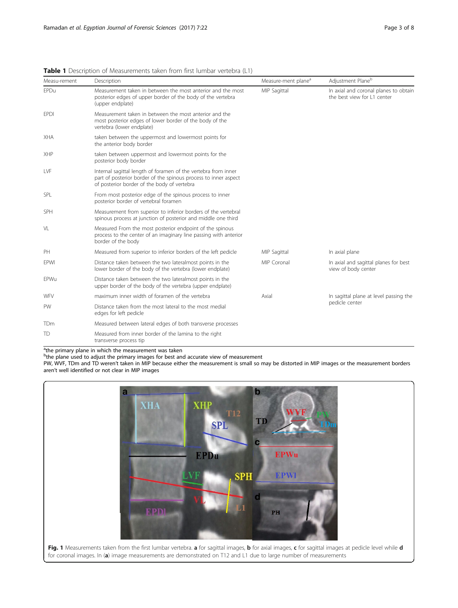| Measu-rement | Description                                                                                                                                                                      | Measure-ment plane <sup>a</sup>                                             | Adjustment Planeb                                                    |  |  |
|--------------|----------------------------------------------------------------------------------------------------------------------------------------------------------------------------------|-----------------------------------------------------------------------------|----------------------------------------------------------------------|--|--|
| EPDu         | Measurement taken in between the most anterior and the most<br>posterior edges of upper border of the body of the vertebra<br>(upper endplate)                                   | MIP Sagittal                                                                | In axial and coronal planes to obtain<br>the best view for L1 center |  |  |
| <b>EPDI</b>  | Measurement taken in between the most anterior and the<br>most posterior edges of lower border of the body of the<br>vertebra (lower endplate)                                   |                                                                             |                                                                      |  |  |
| <b>XHA</b>   | taken between the uppermost and lowermost points for<br>the anterior body border                                                                                                 |                                                                             |                                                                      |  |  |
| XHP          | taken between uppermost and lowermost points for the<br>posterior body border                                                                                                    |                                                                             |                                                                      |  |  |
| LVF          | Internal sagittal length of foramen of the vertebra from inner<br>part of posterior border of the spinous process to inner aspect<br>of posterior border of the body of vertebra |                                                                             |                                                                      |  |  |
| SPL          | From most posterior edge of the spinous process to inner<br>posterior border of vertebral foramen                                                                                |                                                                             |                                                                      |  |  |
| SPH          | Measurement from superior to inferior borders of the vertebral<br>spinous process at junction of posterior and middle one third                                                  |                                                                             |                                                                      |  |  |
| VL           | Measured From the most posterior endpoint of the spinous<br>process to the center of an imaginary line passing with anterior<br>border of the body                               |                                                                             |                                                                      |  |  |
| PH           | Measured from superior to inferior borders of the left pedicle                                                                                                                   | MIP Sagittal                                                                | In axial plane                                                       |  |  |
| EPWI         | Distance taken between the two lateralmost points in the<br>lower border of the body of the vertebra (lower endplate)                                                            | MIP Coronal<br>In axial and sagittal planes for best<br>view of body center |                                                                      |  |  |
| EPWu         | Distance taken between the two lateralmost points in the<br>upper border of the body of the vertebra (upper endplate)                                                            |                                                                             |                                                                      |  |  |
| <b>WFV</b>   | maximum inner width of foramen of the vertebra                                                                                                                                   | Axial                                                                       | In sagittal plane at level passing the<br>pedicle center             |  |  |
| <b>PW</b>    | Distance taken from the most lateral to the most medial<br>edges for left pedicle                                                                                                |                                                                             |                                                                      |  |  |
| <b>TDm</b>   | Measured between lateral edges of both transverse processes                                                                                                                      |                                                                             |                                                                      |  |  |
| TD           | Measured from inner border of the lamina to the right<br>transverse process tip                                                                                                  |                                                                             |                                                                      |  |  |

<span id="page-2-0"></span>Table 1 Description of Measurements taken from first lumbar vertebra (L1)

<sup>a</sup>the primary plane in which the measurement was taken

<sup>b</sup>the plane used to adjust the primary images for best and accurate view of measurement

PW, WVF, TDm and TD weren't taken in MIP because either the measurement is small so may be distorted in MIP images or the measurement borders aren't well identified or not clear in MIP images

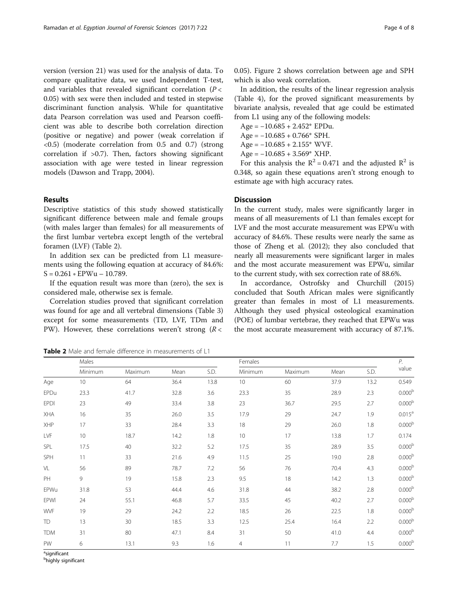version (version 21) was used for the analysis of data. To compare qualitative data, we used Independent T-test, and variables that revealed significant correlation  $(P <$ 0.05) with sex were then included and tested in stepwise discriminant function analysis. While for quantitative data Pearson correlation was used and Pearson coefficient was able to describe both correlation direction (positive or negative) and power (weak correlation if <0.5) (moderate correlation from 0.5 and 0.7) (strong correlation if >0.7). Then, factors showing significant association with age were tested in linear regression models (Dawson and Trapp, [2004](#page-6-0)).

## Results

Descriptive statistics of this study showed statistically significant difference between male and female groups (with males larger than females) for all measurements of the first lumbar vertebra except length of the vertebral foramen (LVF) (Table 2).

In addition sex can be predicted from L1 measurements using the following equation at accuracy of 84.6%:  $S = 0.261 * EPWu - 10.789$ .

If the equation result was more than (zero), the sex is considered male, otherwise sex is female.

Correlation studies proved that significant correlation was found for age and all vertebral dimensions (Table [3](#page-4-0)) except for some measurements (TD, LVF, TDm and PW). However, these correlations weren't strong ( $R <$ 

0.05). Figure [2](#page-4-0) shows correlation between age and SPH which is also weak correlation.

In addition, the results of the linear regression analysis (Table [4\)](#page-5-0), for the proved significant measurements by bivariate analysis, revealed that age could be estimated from L1 using any of the following models:

Age = −10.685 + 2.452\* EPDu.

 $Age = -10.685 + 0.766*$  SPH.

Age =  $-10.685 + 2.155$ \* WVF.

 $Age = -10.685 + 3.569*$  XHP.

For this analysis the  $R^2 = 0.471$  and the adjusted  $R^2$  is 0.348, so again these equations aren't strong enough to estimate age with high accuracy rates.

## **Discussion**

In the current study, males were significantly larger in means of all measurements of L1 than females except for LVF and the most accurate measurement was EPWu with accuracy of 84.6%. These results were nearly the same as those of Zheng et al. [\(2012\)](#page-7-0); they also concluded that nearly all measurements were significant larger in males and the most accurate measurement was EPWu, similar to the current study, with sex correction rate of 88.6%.

In accordance, Ostrofsky and Churchill ([2015](#page-6-0)) concluded that South African males were significantly greater than females in most of L1 measurements. Although they used physical osteological examination (POE) of lumbar vertebrae, they reached that EPWu was the most accurate measurement with accuracy of 87.1%.

Table 2 Male and female difference in measurements of L1

Males **Females Females Females P.** value Minimum Maximum Mean S.D. Minimum Maximum Mean S.D. Age 10 64 36.4 13.8 10 60 37.9 13.2 0.549 EPDu 23.3 41.7 32.8 3.6 23.3 35 28.9 2.3 0.000<sup>b</sup> EPDl 23 49 33.4 3.8 23 36.7 29.5 2.7 0.000<sup>b</sup>  $XHA$  16 35 26.0 3.5 17.9 29 24.7 1.9 0.015<sup>a</sup>  $XHP$  17 33 28.4 3.3 18 29 26.0 1.8 0.000<sup>b</sup> LVF 10 18.7 14.2 1.8 10 17 13.8 1.7 0.174 SPL 17.5 40 32.2 5.2 17.5 35 28.9 3.5 0.000<sup>b</sup>  $SPH$  11 33 21.6 4.9 11.5 25 19.0 2.8 0.000<sup>b</sup> VL 56 89 78.7 7.2 56 76 70.4 4.3  $0.000^{5}$ PH 9 19 15.8 2.3 9.5 18 14.2 1.3 0.000<sup>b</sup> EPWu 31.8 53 44.4 4.6 31.8 44 38.2 2.8  $0.000^{5}$ EPWl 24 55.1 46.8 5.7 33.5 45 40.2 2.7 0.000<sup>b</sup> WF 19 29 24.2 2.2 18.5 26 22.5 1.8  $0.000^{5}$ TD 13 30 18.5 3.3 12.5 25.4 16.4 2.2  $0.000^{5}$ TDM 31 80 47.1 8.4 31 50 41.0 4.4 0.000<sup>b</sup> PW 6 13.1 9.3 1.6 4 11 7.7 1.5 0.000<sup>b</sup>

<sup>a</sup>significant

<sup>b</sup>highly significant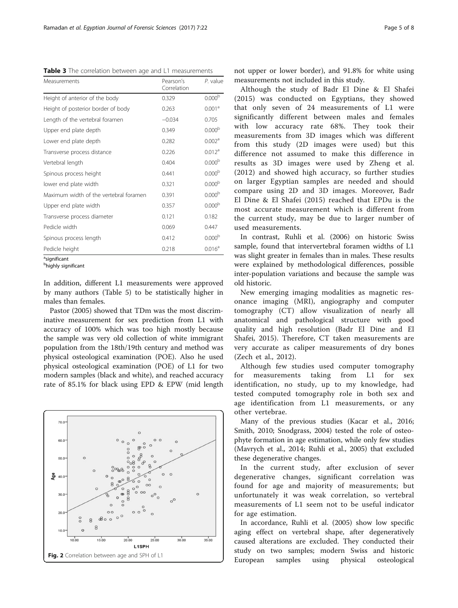<span id="page-4-0"></span>Table 3 The correlation between age and L1 measurements

| Measurements                           | Pearson's<br>Correlation | P. value           |
|----------------------------------------|--------------------------|--------------------|
| Height of anterior of the body         | 0.329                    | $0.000b$           |
| Height of posterior border of body     | 0.263                    | 0.001 <sup>a</sup> |
| Length of the vertebral foramen        | $-0.034$                 | 0.705              |
| Upper end plate depth                  | 0.349                    | 0.000 <sup>b</sup> |
| Lower end plate depth                  | 0.282                    | 0.002 <sup>a</sup> |
| Transverse process distance            | 0.226                    | 0.012 <sup>a</sup> |
| Vertebral length                       | 0.404                    | 0.000 <sup>b</sup> |
| Spinous process height                 | 0.441                    | 0.000 <sup>b</sup> |
| lower end plate width                  | 0.321                    | 0.000 <sup>b</sup> |
| Maximum width of the vertebral foramen | 0.391                    | 0.000 <sup>b</sup> |
| Upper end plate width                  | 0.357                    | 0.000 <sup>b</sup> |
| Transverse process diameter            | 0.121                    | 0.182              |
| Pedicle width                          | 0.069                    | 0.447              |
| Spinous process length                 | 0.412                    | 0.000 <sup>b</sup> |
| Pedicle height                         | 0.218                    | 0.016 <sup>a</sup> |

<sup>&</sup>lt;sup>a</sup>significant

<sup>b</sup>highly significant

In addition, different L1 measurements were approved by many authors (Table [5\)](#page-5-0) to be statistically higher in males than females.

Pastor ([2005](#page-7-0)) showed that TDm was the most discriminative measurement for sex prediction from L1 with accuracy of 100% which was too high mostly because the sample was very old collection of white immigrant population from the 18th/19th century and method was physical osteological examination (POE). Also he used physical osteological examination (POE) of L1 for two modern samples (black and white), and reached accuracy rate of 85.1% for black using EPD & EPW (mid length



not upper or lower border), and 91.8% for white using measurements not included in this study.

Although the study of Badr El Dine & El Shafei ([2015](#page-6-0)) was conducted on Egyptians, they showed that only seven of 24 measurements of L1 were significantly different between males and females with low accuracy rate 68%. They took their measurements from 3D images which was different from this study (2D images were used) but this difference not assumed to make this difference in results as 3D images were used by Zheng et al. ([2012](#page-7-0)) and showed high accuracy, so further studies on larger Egyptian samples are needed and should compare using 2D and 3D images. Moreover, Badr El Dine & El Shafei [\(2015\)](#page-6-0) reached that EPDu is the most accurate measurement which is different from the current study, may be due to larger number of used measurements.

In contrast, Ruhli et al. [\(2006\)](#page-7-0) on historic Swiss sample, found that intervertebral foramen widths of L1 was slight greater in females than in males. These results were explained by methodological differences, possible inter-population variations and because the sample was old historic.

New emerging imaging modalities as magnetic resonance imaging (MRI), angiography and computer tomography (CT) allow visualization of nearly all anatomical and pathological structure with good quality and high resolution (Badr El Dine and El Shafei, [2015\)](#page-6-0). Therefore, CT taken measurements are very accurate as caliper measurements of dry bones (Zech et al., [2012\)](#page-7-0).

Although few studies used computer tomography for measurements taking from L1 for sex identification, no study, up to my knowledge, had tested computed tomography role in both sex and age identification from L1 measurements, or any other vertebrae.

Many of the previous studies (Kacar et al., [2016](#page-6-0); Smith, [2010;](#page-7-0) Snodgrass, [2004\)](#page-7-0) tested the role of osteophyte formation in age estimation, while only few studies (Mavrych et al., [2014;](#page-6-0) Ruhli et al., [2005\)](#page-7-0) that excluded these degenerative changes.

In the current study, after exclusion of sever degenerative changes, significant correlation was found for age and majority of measurements; but unfortunately it was weak correlation, so vertebral measurements of L1 seem not to be useful indicator for age estimation.

In accordance, Ruhli et al. [\(2005\)](#page-7-0) show low specific aging effect on vertebral shape, after degeneratively caused alterations are excluded. They conducted their study on two samples; modern Swiss and historic European samples using physical osteological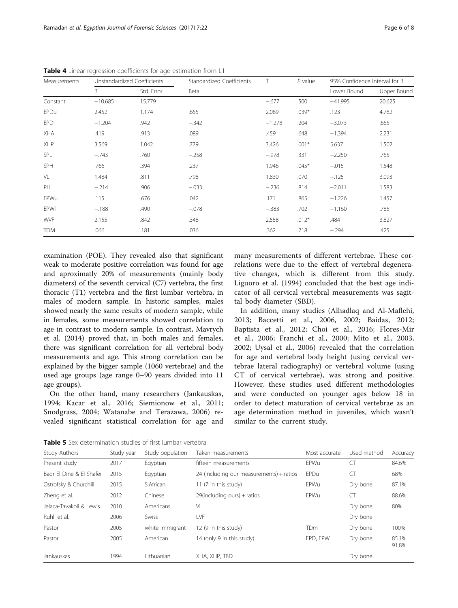| Measurements | Unstandardized Coefficients |            | Standardized Coefficients | T.       | $P$ value | 95% Confidence Interval for B |             |
|--------------|-----------------------------|------------|---------------------------|----------|-----------|-------------------------------|-------------|
|              | B                           | Std. Error | Beta                      |          |           | Lower Bound                   | Upper Bound |
| Constant     | $-10.685$                   | 15.779     |                           | $-.677$  | .500      | $-41.995$                     | 20.625      |
| <b>EPDu</b>  | 2.452                       | 1.174      | .655                      | 2.089    | $.039*$   | .123                          | 4.782       |
| <b>EPDI</b>  | $-1.204$                    | .942       | $-.342$                   | $-1.278$ | .204      | $-3.073$                      | .665        |
| XHA          | .419                        | .913       | .089                      | .459     | .648      | $-1.394$                      | 2.231       |
| <b>XHP</b>   | 3.569                       | 1.042      | .779                      | 3.426    | $.001*$   | 5.637                         | 1.502       |
| SPL          | $-.743$                     | .760       | $-.258$                   | $-.978$  | .331      | $-2.250$                      | .765        |
| SPH          | .766                        | .394       | .237                      | 1.946    | $.045*$   | $-.015$                       | 1.548       |
| VL           | 1.484                       | .811       | .798                      | 1.830    | .070      | $-.125$                       | 3.093       |
| PH           | $-214$                      | .906       | $-.033$                   | $-.236$  | .814      | $-2.011$                      | 1.583       |
| EPWu         | .115                        | .676       | .042                      | .171     | .865      | $-1.226$                      | 1.457       |
| EPWI         | $-.188$                     | .490       | $-.078$                   | $-.383$  | .702      | $-1.160$                      | .785        |
| <b>WVF</b>   | 2.155                       | .842       | .348                      | 2.558    | $.012*$   | .484                          | 3.827       |
| <b>TDM</b>   | .066                        | .181       | .036                      | .362     | .718      | $-.294$                       | .425        |

<span id="page-5-0"></span>Table 4 Linear regression coefficients for age estimation from L1

examination (POE). They revealed also that significant weak to moderate positive correlation was found for age and aproximatly 20% of measurements (mainly body diameters) of the seventh cervical (C7) vertebra, the first thoracic (T1) vertebra and the first lumbar vertebra, in males of modern sample. In historic samples, males showed nearly the same results of modern sample, while in females, some measurements showed correlation to age in contrast to modern sample. In contrast, Mavrych et al. ([2014\)](#page-6-0) proved that, in both males and females, there was significant correlation for all vertebral body measurements and age. This strong correlation can be explained by the bigger sample (1060 vertebrae) and the used age groups (age range 0–90 years divided into 11 age groups).

On the other hand, many researchers (Jankauskas, [1994;](#page-6-0) Kacar et al., [2016](#page-6-0); Siemionow et al., [2011](#page-7-0); Snodgrass, [2004;](#page-7-0) Watanabe and Terazawa, [2006](#page-7-0)) revealed significant statistical correlation for age and

many measurements of different vertebrae. These correlations were due to the effect of vertebral degenerative changes, which is different from this study. Liguoro et al. [\(1994](#page-6-0)) concluded that the best age indicator of all cervical vertebral measurements was sagittal body diameter (SBD).

In addition, many studies (Alhadlaq and Al-Maflehi, [2013;](#page-6-0) Baccetti et al., [2006, 2002;](#page-6-0) Baidas, [2012](#page-6-0); Baptista et al., [2012](#page-6-0); Choi et al., [2016](#page-6-0); Flores-Mir et al., [2006;](#page-6-0) Franchi et al., [2000;](#page-6-0) Mito et al., [2003](#page-6-0), [2002;](#page-6-0) Uysal et al., [2006](#page-7-0)) revealed that the correlation for age and vertebral body height (using cervical vertebrae lateral radiography) or vertebral volume (using CT of cervical vertebrae), was strong and positive. However, these studies used different methodologies and were conducted on younger ages below 18 in order to detect maturation of cervical vertebrae as an age determination method in juveniles, which wasn't similar to the current study.

Table 5 Sex determination studies of first lumbar vertebra

| Study Authors            | Study year | Study population | Taken measurements                       | Most accurate | Used method | Accuracy       |
|--------------------------|------------|------------------|------------------------------------------|---------------|-------------|----------------|
| Present study            | 2017       | Eqyptian         | fifteen measurements                     | EPWu          | а           | 84.6%          |
| Badr El Dine & El Shafei | 2015       | Eqyptian         | 24 (including our measurements) + ratios | <b>EPDu</b>   | C           | 68%            |
| Ostrofsky & Churchill    | 2015       | S.African        | 11 (7 in this study)                     | EPWu          | Dry bone    | 87.1%          |
| Zheng et al.             | 2012       | Chinese          | 29(including ours) + ratios              | EPWu          | C           | 88.6%          |
| Jelaca-Tavakoli & Lewis  | 2010       | Americans        | VL                                       |               | Dry bone    | 80%            |
| Ruhli et al.             | 2006       | <b>Swiss</b>     | LVF                                      |               | Dry bone    |                |
| Pastor                   | 2005       | white immigrant  | 12 (9 in this study)                     | <b>TDm</b>    | Dry bone    | 100%           |
| Pastor                   | 2005       | American         | 14 (only 9 in this study)                | EPD, EPW      | Dry bone    | 85.1%<br>91.8% |
| Jankauskas               | 1994       | Lithuanian       | XHA, XHP, TBD                            |               | Dry bone    |                |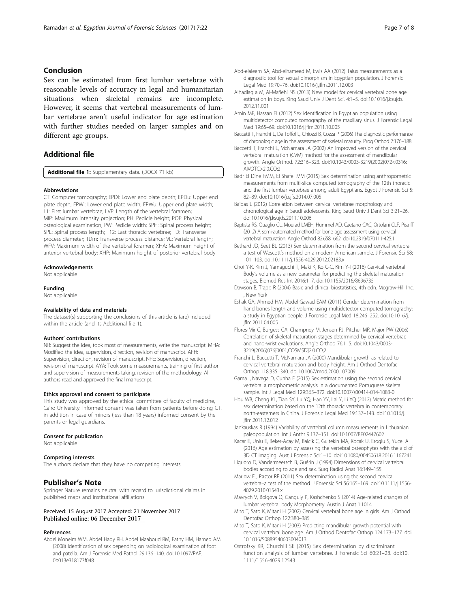## <span id="page-6-0"></span>Conclusion

Sex can be estimated from first lumbar vertebrae with reasonable levels of accuracy in legal and humanitarian situations when skeletal remains are incomplete. However, it seems that vertebral measurements of lumbar vertebrae aren't useful indicator for age estimation with further studies needed on larger samples and on different age groups.

# Additional file

[Additional file 1:](dx.doi.org/10.1186/s41935-017-0025-7) Supplementary data. (DOCX 71 kb)

#### Abbreviations

CT: Computer tomography; EPDl: Lower end plate depth; EPDu: Upper end plate depth; EPWl: Lower end plate width; EPWu: Upper end plate width; L1: First lumbar vertebrae; LVF: Length of the vertebral foramen; MIP: Maximum intensity projection; PH: Pedicle height; POE: Physical osteological examination; PW: Pedicle width; SPH: Spinal process height; SPL: Spinal process length; T12: Last thoracic vertebrae; TD: Transverse process diameter; TDm: Transverse process distance; VL: Vertebral length; WFV: Maximum width of the vertebral foramen; XHA: Maximum height of anterior vertebral body; XHP: Maximum height of posterior vertebral body

#### Acknowledgements

Not applicable

#### Funding

Not applicable

## Availability of data and materials

The dataset(s) supporting the conclusions of this article is (are) included within the article (and its Additional file 1).

#### Authors' contributions

NR: Suggest the idea, took most of measurements, write the manuscript. MHA: Modified the idea, supervision, direction, revision of manuscript. AFH: Supervision, direction, revision of manuscript. NFE: Supervision, direction, revision of manuscript. AYA: Took some measurements, training of first author and supervision of measurements taking, revision of the methodology. All authors read and approved the final manuscript.

#### Ethics approval and consent to participate

This study was approved by the ethical committee of faculty of medicine, Cairo University. Informed consent was taken from patients before doing CT. in addition in case of minors (less than 18 years) informed consent by the parents or legal guardians.

#### Consent for publication

Not applicable

#### Competing interests

The authors declare that they have no competing interests.

### Publisher's Note

Springer Nature remains neutral with regard to jurisdictional claims in published maps and institutional affiliations.

#### Received: 15 August 2017 Accepted: 21 November 2017 Published online: 06 December 2017

#### References

Abdel Moneim WM, Abdel Hady RH, Abdel Maaboud RM, Fathy HM, Hamed AM (2008) Identification of sex depending on radiological examination of foot and patella. Am J Forensic Med Pathol 29:136–140. doi:[10.1097/PAF.](http://dx.doi.org/10.1097/PAF.0b013e318173f048) [0b013e318173f048](http://dx.doi.org/10.1097/PAF.0b013e318173f048)

- Abd-elaleem SA, Abd-elhameed M, Ewis AA (2012) Talus measurements as a diagnostic tool for sexual dimorphism in Egyptian population. J Forensic Legal Med 19:70–76. doi:[10.1016/j.jflm.2011.12.003](http://dx.doi.org/10.1016/j.jflm.2011.12.003)
- Alhadlaq a M, Al-Maflehi NS (2013) New model for cervical vertebral bone age estimation in boys. King Saud Univ J Dent Sci. 4:1–5. doi[:10.1016/j.ksujds.](http://dx.doi.org/10.1016/j.ksujds.2012.11.001) [2012.11.001](http://dx.doi.org/10.1016/j.ksujds.2012.11.001)
- Amin MF, Hassan EI (2012) Sex identification in Egyptian population using multidetector computed tomography of the maxillary sinus. J Forensic Legal Med 19:65–69. doi[:10.1016/j.jflm.2011.10.005](http://dx.doi.org/10.1016/j.jflm.2011.10.005)
- Baccetti T, Franchi L, De Toffol L, Ghiozzi B, Cozza P (2006) The diagnostic performance of chronologic age in the assessment of skeletal maturity. Prog Orthod 7:176–188
- Baccetti T, Franchi L, McNamara JA (2002) An improved version of the cervical vertebral maturation (CVM) method for the assessment of mandibular growth. Angle Orthod. 72:316–323. doi[:10.1043/0003-3219\(2002\)072<0316:](http://dx.doi.org/10.1043/0003-3219(2002)072<0316:AIVOTC>2.0.CO;2) [AIVOTC>2.0.CO;2](http://dx.doi.org/10.1043/0003-3219(2002)072<0316:AIVOTC>2.0.CO;2)
- Badr El Dine FMM, El Shafei MM (2015) Sex determination using anthropometric measurements from multi-slice computed tomography of the 12th thoracic and the first lumbar vertebrae among adult Egyptians. Egypt J Forensic Sci 5: 82–89. doi:[10.1016/j.ejfs.2014.07.005](http://dx.doi.org/10.1016/j.ejfs.2014.07.005)
- Baidas L (2012) Correlation between cervical vertebrae morphology and chronological age in Saudi adolescents. King Saud Univ J Dent Sci 3:21–26. doi[:10.1016/j.ksujds.2011.10.006](http://dx.doi.org/10.1016/j.ksujds.2011.10.006)
- Baptista RS, Quaglio CL, Mourad LMEH, Hummel AD, Caetano CAC, Ortolani CLF, Pisa IT (2012) A semi-automated method for bone age assessment using cervical vertebral maturation. Angle Orthod 82:658–662. doi:[10.2319/070111-425.1](http://dx.doi.org/10.2319/070111-425.1)
- Bethard JD, Seet BL (2013) Sex determination from the second cervical vertebra: a test of Wescott's method on a modern American sample. J Forensic Sci 58: 101–103. doi[:10.1111/j.1556-4029.2012.02183.x](http://dx.doi.org/10.1111/j.1556-4029.2012.02183.x)
- Choi Y-K, Kim J, Yamaguchi T, Maki K, Ko C-C, Kim Y-I (2016) Cervical vertebral Body's volume as a new parameter for predicting the skeletal maturation stages. Biomed Res Int 2016:1–7. doi[:10.1155/2016/8696735](http://dx.doi.org/10.1155/2016/8696735)
- Dawson B, Trapp R (2004) Basic and clinical biostatistics, 4th edn. Mcgraw-Hill Inc. , New York
- Eshak GA, Ahmed HM, Abdel Gawad EAM (2011) Gender determination from hand bones length and volume using multidetector computed tomography: a study in Egyptian people. J Forensic Legal Med 18:246–252. doi[:10.1016/j.](http://dx.doi.org/10.1016/j.jflm.2011.04.005) [jflm.2011.04.005](http://dx.doi.org/10.1016/j.jflm.2011.04.005)
- Flores-Mir C, Burgess CA, Champney M, Jensen RJ, Pitcher MR, Major PW (2006) Correlation of skeletal maturation stages determined by cervical vertebrae and hand-wrist evaluations. Angle Orthod 76:1–5. doi:[10.1043/0003-](http://dx.doi.org/10.1043/0003-3219(2006)076<0001,COSMSD>2.0.CO;2) [3219\(2006\)076\[0001,COSMSD\]2.0.CO;2](http://dx.doi.org/10.1043/0003-3219(2006)076<0001,COSMSD>2.0.CO;2)
- Franchi L, Baccetti T, McNamara JA (2000) Mandibular growth as related to cervical vertebral maturation and body height. Am J Orthod Dentofac Orthop 118:335–340. doi[:10.1067/mod.2000.107009](http://dx.doi.org/10.1067/mod.2000.107009)
- Gama I, Navega D, Cunha E (2015) Sex estimation using the second cervical vertebra: a morphometric analysis in a documented Portuguese skeletal sample. Int J Legal Med 129:365–372. doi:[10.1007/s00414-014-1083-0](http://dx.doi.org/10.1007/s00414-014-1083-0)
- Hou WB, Cheng KL, Tian SY, Lu YQ, Han YY, Lai Y, Li YQ (2012) Metric method for sex determination based on the 12th thoracic vertebra in contemporary north-easterners in China. J Forensic Legal Med 19:137–143. doi[:10.1016/j.](http://dx.doi.org/10.1016/j.jflm.2011.12.012) iflm.2011.12.012
- Jankauskas R (1994) Variability of vertebral column measurements in Lithuanian paleopopulation. Int J Anthr 9:137–151. doi[:10.1007/BF02447602](http://dx.doi.org/10.1007/BF02447602)
- Kacar E, Unlu E, Beker-Acay M, Balcik C, Gultekin MA, Kocak U, Eroglu S, Yucel A (2016) Age estimation by assessing the vertebral osteophytes with the aid of 3D CT imaging. Aust J Forensic Sci:1–10. doi:[10.1080/00450618.2016.1167241](http://dx.doi.org/10.1080/00450618.2016.1167241)
- Liguoro D, Vandermeersch B, Guérin J (1994) Dimensions of cervical vertebral bodies according to age and sex. Surg Radiol Anat 16:149–155
- Marlow EJ, Pastor RF (2011) Sex determination using the second cervical vertebra–a test of the method. J Forensic Sci 56:165–169. doi:[10.1111/j.1556-](http://dx.doi.org/10.1111/j.1556-4029.2010.01543.x) [4029.2010.01543.x](http://dx.doi.org/10.1111/j.1556-4029.2010.01543.x)
- Mavrych V, Bolgova O, Ganguly P, Kashchenko S (2014) Age-related changes of lumbar vertebral body Morphometry. Austin J Anat 1:1014
- Mito T, Sato K, Mitani H (2002) Cervical vertebral bone age in girls. Am J Orthod Dentofac Orthop 122:380–385
- Mito T, Sato K, Mitani H (2003) Predicting mandibular growth potential with cervical vertebral bone age. Am J Orthod Dentofac Orthop 124:173–177. doi: [10.1016/S0889540603004013](http://dx.doi.org/10.1016/S0889540603004013)
- Ostrofsky KR, Churchill SE (2015) Sex determination by discriminant function analysis of lumbar vertebrae. J Forensic Sci 60:21–28. doi:[10.](http://dx.doi.org/10.1111/1556-4029.12543) [1111/1556-4029.12543](http://dx.doi.org/10.1111/1556-4029.12543)